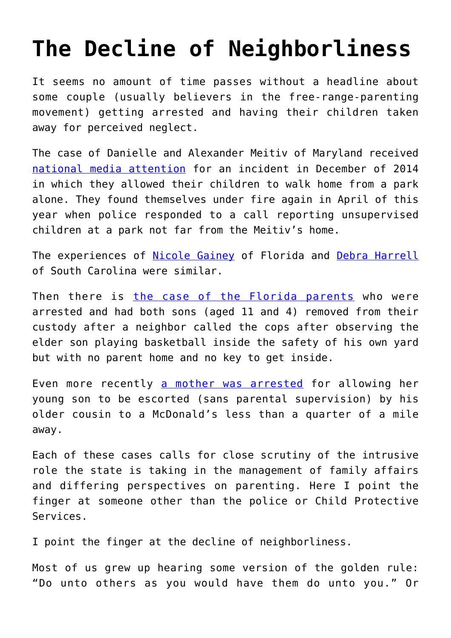## **[The Decline of Neighborliness](https://intellectualtakeout.org/2016/04/the-decline-of-neighborliness/)**

It seems no amount of time passes without a headline about some couple (usually believers in the free-range-parenting movement) getting arrested and having their children taken away for perceived neglect.

The case of Danielle and Alexander Meitiv of Maryland received [national media attention](http://www.washingtontimes.com/news/2015/jun/22/free-range-meitiv-family-cleared-of-all-child-negl/) for an incident in December of 2014 in which they allowed their children to walk home from a park alone. They found themselves under fire again in April of this year when police responded to a call reporting unsupervised children at a park not far from the Meitiv's home.

The experiences of [Nicole Gainey](http://www.cnn.com/2014/07/31/living/florida-mom-arrested-son-park/) of Florida and [Debra Harrell](http://www.cnn.com/2014/07/21/living/mom-arrested-left-girl-park-parents/) of South Carolina were similar.

Then there is [the case of the Florida parents](http://reason.com/blog/2015/06/11/11-year-old-boy-played-in-his-yard-cps-t) who were arrested and had both sons (aged 11 and 4) removed from their custody after a neighbor called the cops after observing the elder son playing basketball inside the safety of his own yard but with no parent home and no key to get inside.

Even more recently [a mother was arrested](http://wspa.com/2016/04/05/3-year-old-6-year-old-walks-to-mcdonalds-alone-mother-charged/) for allowing her young son to be escorted (sans parental supervision) by his older cousin to a McDonald's less than a quarter of a mile away.

Each of these cases calls for close scrutiny of the intrusive role the state is taking in the management of family affairs and differing perspectives on parenting. Here I point the finger at someone other than the police or Child Protective Services.

I point the finger at the decline of neighborliness.

Most of us grew up hearing some version of the golden rule: "Do unto others as you would have them do unto you." Or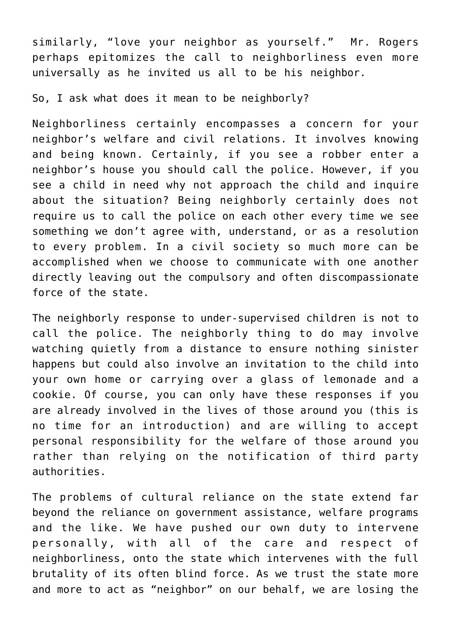similarly, "love your neighbor as yourself." Mr. Rogers perhaps epitomizes the call to neighborliness even more universally as he invited us all to be his neighbor.

So, I ask what does it mean to be neighborly?

Neighborliness certainly encompasses a concern for your neighbor's welfare and civil relations. It involves knowing and being known. Certainly, if you see a robber enter a neighbor's house you should call the police. However, if you see a child in need why not approach the child and inquire about the situation? Being neighborly certainly does not require us to call the police on each other every time we see something we don't agree with, understand, or as a resolution to every problem. In a civil society so much more can be accomplished when we choose to communicate with one another directly leaving out the compulsory and often discompassionate force of the state.

The neighborly response to under-supervised children is not to call the police. The neighborly thing to do may involve watching quietly from a distance to ensure nothing sinister happens but could also involve an invitation to the child into your own home or carrying over a glass of lemonade and a cookie. Of course, you can only have these responses if you are already involved in the lives of those around you (this is no time for an introduction) and are willing to accept personal responsibility for the welfare of those around you rather than relying on the notification of third party authorities.

The problems of cultural reliance on the state extend far beyond the reliance on government assistance, welfare programs and the like. We have pushed our own duty to intervene personally, with all of the care and respect of neighborliness, onto the state which intervenes with the full brutality of its often blind force. As we trust the state more and more to act as "neighbor" on our behalf, we are losing the